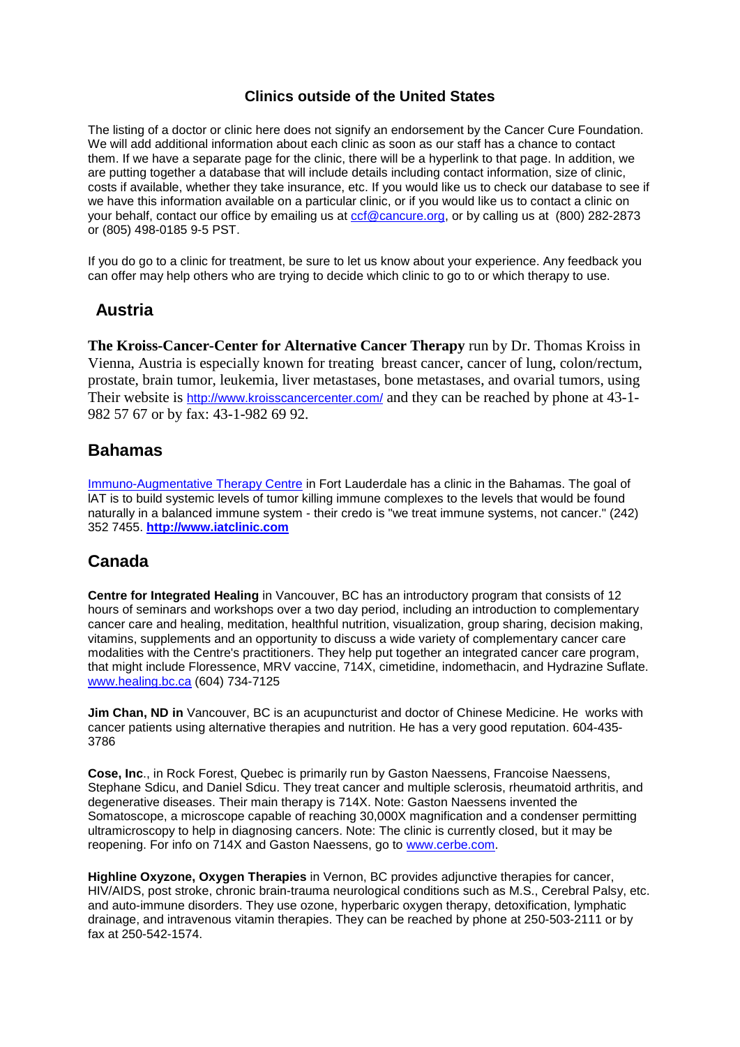## **Clinics outside of the United States**

The listing of a doctor or clinic here does not signify an endorsement by the Cancer Cure Foundation. We will add additional information about each clinic as soon as our staff has a chance to contact them. If we have a separate page for the clinic, there will be a hyperlink to that page. In addition, we are putting together a database that will include details including contact information, size of clinic, costs if available, whether they take insurance, etc. If you would like us to check our database to see if we have this information available on a particular clinic, or if you would like us to contact a clinic on your behalf, contact our office by emailing us at [ccf@cancure.org,](mailto:CCF@cancure.org) or by calling us at (800) 282-2873 or (805) 498-0185 9-5 PST.

If you do go to a clinic for treatment, be sure to let us know about your experience. Any feedback you can offer may help others who are trying to decide which clinic to go to or which therapy to use.

# **Austria**

**The Kroiss-Cancer-Center for Alternative Cancer Therapy** run by Dr. Thomas Kroiss in Vienna, Austria is especially known for treating breast cancer, cancer of lung, colon/rectum, prostate, brain tumor, leukemia, liver metastases, bone metastases, and ovarial tumors, using Their website is <http://www.kroisscancercenter.com/> and they can be reached by phone at 43-1-982 57 67 or by fax: 43-1-982 69 92.

# **Bahamas**

Immuno-Augmentative Therapy Centre in Fort Lauderdale has a clinic in the Bahamas. The goal of lAT is to build systemic levels of tumor killing immune complexes to the levels that would be found naturally in a balanced immune system - their credo is "we treat immune systems, not cancer." (242) 352 7455. **[http://www.iatclinic.com](http://www.iatclinic.com/)**

# **Canada**

**Centre for Integrated Healing** in Vancouver, BC has an introductory program that consists of 12 hours of seminars and workshops over a two day period, including an introduction to complementary cancer care and healing, meditation, healthful nutrition, visualization, group sharing, decision making, vitamins, supplements and an opportunity to discuss a wide variety of complementary cancer care modalities with the Centre's practitioners. They help put together an integrated cancer care program, that might include Floressence, MRV vaccine, 714X, cimetidine, indomethacin, and Hydrazine Suflate. [www.healing.bc.ca](http://www.healing.bc.ca/) (604) 734-7125

**Jim Chan, ND in** Vancouver, BC is an acupuncturist and doctor of Chinese Medicine. He works with cancer patients using alternative therapies and nutrition. He has a very good reputation. 604-435- 3786

**Cose, Inc**., in Rock Forest, Quebec is primarily run by Gaston Naessens, Francoise Naessens, Stephane Sdicu, and Daniel Sdicu. They treat cancer and multiple sclerosis, rheumatoid arthritis, and degenerative diseases. Their main therapy is 714X. Note: Gaston Naessens invented the Somatoscope, a microscope capable of reaching 30,000X magnification and a condenser permitting ultramicroscopy to help in diagnosing cancers. Note: The clinic is currently closed, but it may be reopening. For info on 714X and Gaston Naessens, go to [www.cerbe.com.](http://www.cerbe.com/)

**Highline Oxyzone, Oxygen Therapies** in Vernon, BC provides adjunctive therapies for cancer, HIV/AIDS, post stroke, chronic brain-trauma neurological conditions such as M.S., Cerebral Palsy, etc. and auto-immune disorders. They use ozone, hyperbaric oxygen therapy, detoxification, lymphatic drainage, and intravenous vitamin therapies. They can be reached by phone at 250-503-2111 or by fax at 250-542-1574.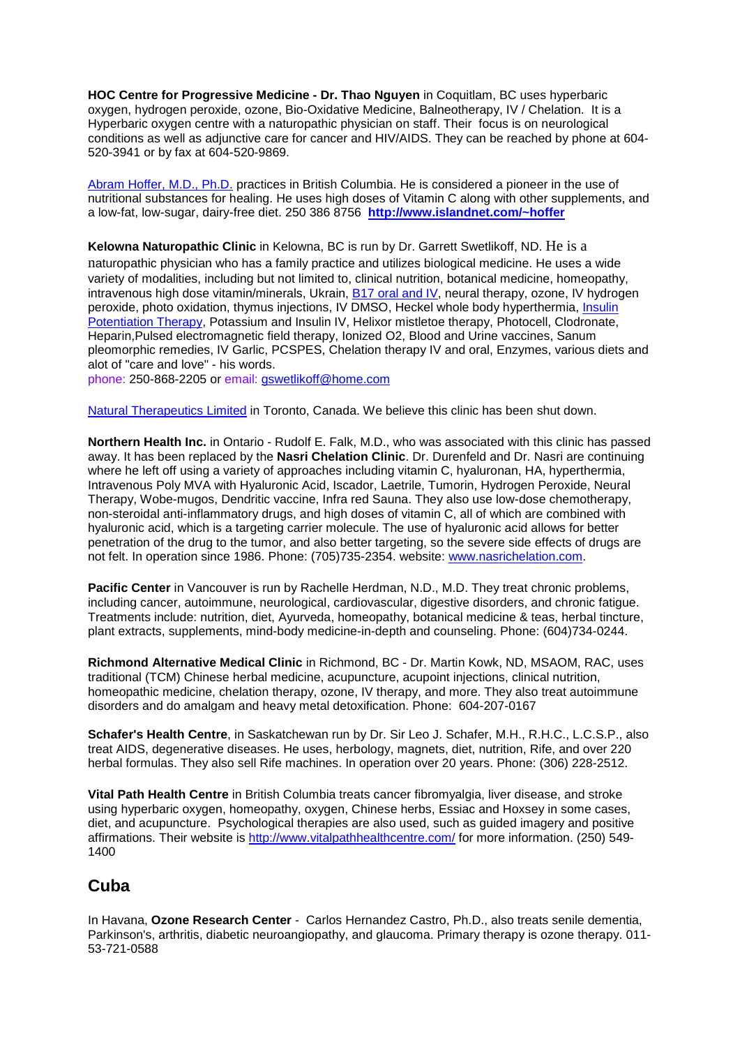**HOC Centre for Progressive Medicine - Dr. Thao Nguyen** in Coquitlam, BC uses hyperbaric oxygen, hydrogen peroxide, ozone, Bio-Oxidative Medicine, Balneotherapy, IV / Chelation. It is a Hyperbaric oxygen centre with a naturopathic physician on staff. Their focus is on neurological conditions as well as adjunctive care for cancer and HIV/AIDS. They can be reached by phone at 604- 520-3941 or by fax at 604-520-9869.

Abram Hoffer, M.D., Ph.D. practices in British Columbia. He is considered a pioneer in the use of nutritional substances for healing. He uses high doses of Vitamin C along with other supplements, and a low-fat, low-sugar, dairy-free diet. 250 386 8756 **<http://www.islandnet.com/~hoffer>**

Kelowna Naturopathic Clinic in Kelowna, BC is run by Dr. Garrett Swetlikoff, ND. He is a naturopathic physician who has a family practice and utilizes biological medicine. He uses a wide variety of modalities, including but not limited to, clinical nutrition, botanical medicine, homeopathy, intravenous high dose vitamin/minerals, Ukrain, B17 oral and IV, neural therapy, ozone, IV hydrogen peroxide, photo oxidation, thymus injections, IV DMSO, Heckel whole body hyperthermia, Insulin Potentiation Therapy, Potassium and Insulin IV, Helixor mistletoe therapy, Photocell, Clodronate, Heparin,Pulsed electromagnetic field therapy, Ionized O2, Blood and Urine vaccines, Sanum pleomorphic remedies, IV Garlic, PCSPES, Chelation therapy IV and oral, Enzymes, various diets and alot of "care and love" - his words.

phone: 250-868-2205 or email: [gswetlikoff@home.com](mailto:Gswetlikoff@home.com)

Natural Therapeutics Limited in Toronto, Canada. We believe this clinic has been shut down.

**Northern Health Inc.** in Ontario - Rudolf E. Falk, M.D., who was associated with this clinic has passed away. It has been replaced by the **Nasri Chelation Clinic**. Dr. Durenfeld and Dr. Nasri are continuing where he left off using a variety of approaches including vitamin C, hyaluronan, HA, hyperthermia, Intravenous Poly MVA with Hyaluronic Acid, Iscador, Laetrile, Tumorin, Hydrogen Peroxide, Neural Therapy, Wobe-mugos, Dendritic vaccine, Infra red Sauna. They also use low-dose chemotherapy, non-steroidal anti-inflammatory drugs, and high doses of vitamin C, all of which are combined with hyaluronic acid, which is a targeting carrier molecule. The use of hyaluronic acid allows for better penetration of the drug to the tumor, and also better targeting, so the severe side effects of drugs are not felt. In operation since 1986. Phone: (705)735-2354. website: [www.nasrichelation.com.](http://www.nasrichelation.com/)

**Pacific Center** in Vancouver is run by Rachelle Herdman, N.D., M.D. They treat chronic problems, including cancer, autoimmune, neurological, cardiovascular, digestive disorders, and chronic fatigue. Treatments include: nutrition, diet, Ayurveda, homeopathy, botanical medicine & teas, herbal tincture, plant extracts, supplements, mind-body medicine-in-depth and counseling. Phone: (604)734-0244.

**Richmond Alternative Medical Clinic** in Richmond, BC - Dr. Martin Kowk, ND, MSAOM, RAC, uses traditional (TCM) Chinese herbal medicine, acupuncture, acupoint injections, clinical nutrition, homeopathic medicine, chelation therapy, ozone, IV therapy, and more. They also treat autoimmune disorders and do amalgam and heavy metal detoxification. Phone: 604-207-0167

**Schafer's Health Centre**, in Saskatchewan run by Dr. Sir Leo J. Schafer, M.H., R.H.C., L.C.S.P., also treat AIDS, degenerative diseases. He uses, herbology, magnets, diet, nutrition, Rife, and over 220 herbal formulas. They also sell Rife machines. In operation over 20 years. Phone: (306) 228-2512.

**Vital Path Health Centre** in British Columbia treats cancer fibromyalgia, liver disease, and stroke using hyperbaric oxygen, homeopathy, oxygen, Chinese herbs, Essiac and Hoxsey in some cases, diet, and acupuncture. Psychological therapies are also used, such as guided imagery and positive affirmations. Their website is<http://www.vitalpathhealthcentre.com/> for more information. (250) 549- 1400

# **Cuba**

In Havana, **Ozone Research Center** - Carlos Hernandez Castro, Ph.D., also treats senile dementia, Parkinson's, arthritis, diabetic neuroangiopathy, and glaucoma. Primary therapy is ozone therapy. 011- 53-721-0588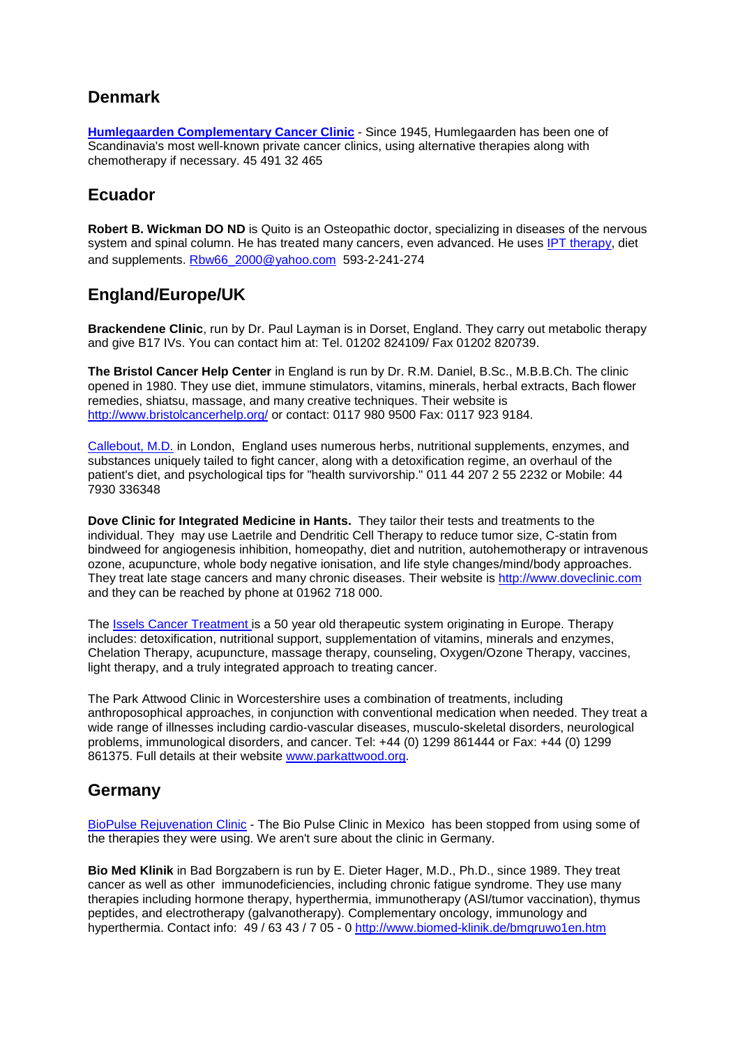# **Denmark**

**Humlegaarden Complementary Cancer Clinic** - Since 1945, Humlegaarden has been one of Scandinavia's most well-known private cancer clinics, using alternative therapies along with chemotherapy if necessary. 45 491 32 465

# **Ecuador**

**Robert B. Wickman DO ND** is Quito is an Osteopathic doctor, specializing in diseases of the nervous system and spinal column. He has treated many cancers, even advanced. He uses IPT therapy, diet and supplements. [Rbw66\\_2000@yahoo.com](mailto:Rbw66_2000@yahoo.com) 593-2-241-274

# **England/Europe/UK**

**Brackendene Clinic**, run by Dr. Paul Layman is in Dorset, England. They carry out metabolic therapy and give B17 IVs. You can contact him at: Tel. 01202 824109/ Fax 01202 820739.

**The Bristol Cancer Help Center** in England is run by Dr. R.M. Daniel, B.Sc., M.B.B.Ch. The clinic opened in 1980. They use diet, immune stimulators, vitamins, minerals, herbal extracts, Bach flower remedies, shiatsu, massage, and many creative techniques. Their website is <http://www.bristolcancerhelp.org/> or contact: 0117 980 9500 Fax: 0117 923 9184.

Callebout, M.D. in London, England uses numerous herbs, nutritional supplements, enzymes, and substances uniquely tailed to fight cancer, along with a detoxification regime, an overhaul of the patient's diet, and psychological tips for "health survivorship." 011 44 207 2 55 2232 or Mobile: 44 7930 336348

**Dove Clinic for Integrated Medicine in Hants.** They tailor their tests and treatments to the individual. They may use Laetrile and Dendritic Cell Therapy to reduce tumor size, C-statin from bindweed for angiogenesis inhibition, homeopathy, diet and nutrition, autohemotherapy or intravenous ozone, acupuncture, whole body negative ionisation, and life style changes/mind/body approaches. They treat late stage cancers and many chronic diseases. Their website is [http://www.doveclinic.com](http://www.doveclinic.com/) and they can be reached by phone at 01962 718 000.

The Issels Cancer Treatment is a 50 year old therapeutic system originating in Europe. Therapy includes: detoxification, nutritional support, supplementation of vitamins, minerals and enzymes, Chelation Therapy, acupuncture, massage therapy, counseling, Oxygen/Ozone Therapy, vaccines, light therapy, and a truly integrated approach to treating cancer.

The Park Attwood Clinic in Worcestershire uses a combination of treatments, including anthroposophical approaches, in conjunction with conventional medication when needed. They treat a wide range of illnesses including cardio-vascular diseases, musculo-skeletal disorders, neurological problems, immunological disorders, and cancer. Tel: +44 (0) 1299 861444 or Fax: +44 (0) 1299 861375. Full details at their website [www.parkattwood.org.](http://www.parkattwood.org/)

# **Germany**

BioPulse Rejuvenation Clinic - The Bio Pulse Clinic in Mexico has been stopped from using some of the therapies they were using. We aren't sure about the clinic in Germany.

**Bio Med Klinik** in Bad Borgzabern is run by E. Dieter Hager, M.D., Ph.D., since 1989. They treat cancer as well as other immunodeficiencies, including chronic fatigue syndrome. They use many therapies including hormone therapy, hyperthermia, immunotherapy (ASI/tumor vaccination), thymus peptides, and electrotherapy (galvanotherapy). Complementary oncology, immunology and hyperthermia. Contact info: 49 / 63 43 / 7 05 - 0<http://www.biomed-klinik.de/bmgruwo1en.htm>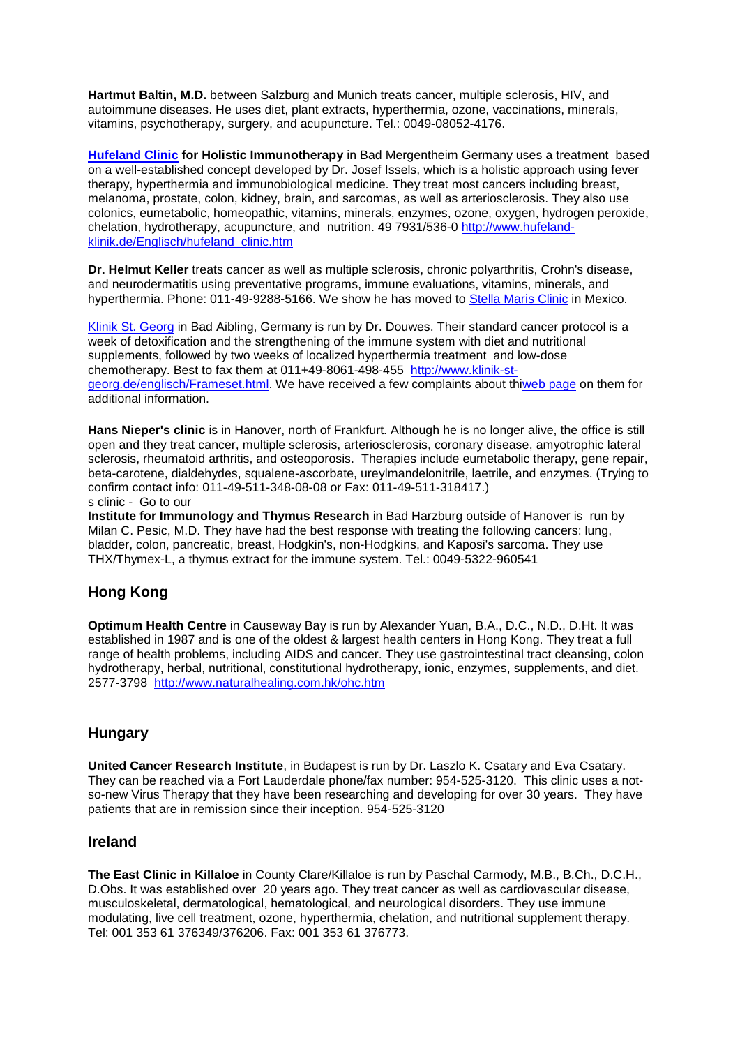**Hartmut Baltin, M.D.** between Salzburg and Munich treats cancer, multiple sclerosis, HIV, and autoimmune diseases. He uses diet, plant extracts, hyperthermia, ozone, vaccinations, minerals, vitamins, psychotherapy, surgery, and acupuncture. Tel.: 0049-08052-4176.

**Hufeland Clinic for Holistic Immunotherapy** in Bad Mergentheim Germany uses a treatment based on a well-established concept developed by Dr. Josef Issels, which is a holistic approach using fever therapy, hyperthermia and immunobiological medicine. They treat most cancers including breast, melanoma, prostate, colon, kidney, brain, and sarcomas, as well as arteriosclerosis. They also use colonics, eumetabolic, homeopathic, vitamins, minerals, enzymes, ozone, oxygen, hydrogen peroxide, chelation, hydrotherapy, acupuncture, and nutrition. 49 7931/536-0 [http://www.hufeland](http://www.hufeland-klinik.de/Englisch/hufeland_clinic.htm)[klinik.de/Englisch/hufeland\\_clinic.htm](http://www.hufeland-klinik.de/Englisch/hufeland_clinic.htm)

**Dr. Helmut Keller** treats cancer as well as multiple sclerosis, chronic polyarthritis, Crohn's disease, and neurodermatitis using preventative programs, immune evaluations, vitamins, minerals, and hyperthermia. Phone: 011-49-9288-5166. We show he has moved to Stella Maris Clinic in Mexico.

Klinik St. Georg in Bad Aibling, Germany is run by Dr. Douwes. Their standard cancer protocol is a week of detoxification and the strengthening of the immune system with diet and nutritional supplements, followed by two weeks of localized hyperthermia treatment and low-dose chemotherapy. Best to fax them at 011+49-8061-498-455 [http://www.klinik-st](http://www.klinik-st-georg.de/englisch/Frameset.html)[georg.de/englisch/Frameset.html.](http://www.klinik-st-georg.de/englisch/Frameset.html) We have received a few complaints about thiweb page on them for additional information.

**Hans Nieper's clinic** is in Hanover, north of Frankfurt. Although he is no longer alive, the office is still open and they treat cancer, multiple sclerosis, arteriosclerosis, coronary disease, amyotrophic lateral sclerosis, rheumatoid arthritis, and osteoporosis. Therapies include eumetabolic therapy, gene repair, beta-carotene, dialdehydes, squalene-ascorbate, ureylmandelonitrile, laetrile, and enzymes. (Trying to confirm contact info: 011-49-511-348-08-08 or Fax: 011-49-511-318417.) s clinic - Go to our

**Institute for Immunology and Thymus Research** in Bad Harzburg outside of Hanover is run by Milan C. Pesic, M.D. They have had the best response with treating the following cancers: lung, bladder, colon, pancreatic, breast, Hodgkin's, non-Hodgkins, and Kaposi's sarcoma. They use THX/Thymex-L, a thymus extract for the immune system. Tel.: 0049-5322-960541

# **Hong Kong**

**Optimum Health Centre** in Causeway Bay is run by Alexander Yuan, B.A., D.C., N.D., D.Ht. It was established in 1987 and is one of the oldest & largest health centers in Hong Kong. They treat a full range of health problems, including AIDS and cancer. They use gastrointestinal tract cleansing, colon hydrotherapy, herbal, nutritional, constitutional hydrotherapy, ionic, enzymes, supplements, and diet. 2577-3798 <http://www.naturalhealing.com.hk/ohc.htm>

### **Hungary**

**United Cancer Research Institute**, in Budapest is run by Dr. Laszlo K. Csatary and Eva Csatary. They can be reached via a Fort Lauderdale phone/fax number: 954-525-3120. This clinic uses a notso-new Virus Therapy that they have been researching and developing for over 30 years. They have patients that are in remission since their inception. 954-525-3120

### **Ireland**

**The East Clinic in Killaloe** in County Clare/Killaloe is run by Paschal Carmody, M.B., B.Ch., D.C.H., D.Obs. It was established over 20 years ago. They treat cancer as well as cardiovascular disease, musculoskeletal, dermatological, hematological, and neurological disorders. They use immune modulating, live cell treatment, ozone, hyperthermia, chelation, and nutritional supplement therapy. Tel: 001 353 61 376349/376206. Fax: 001 353 61 376773.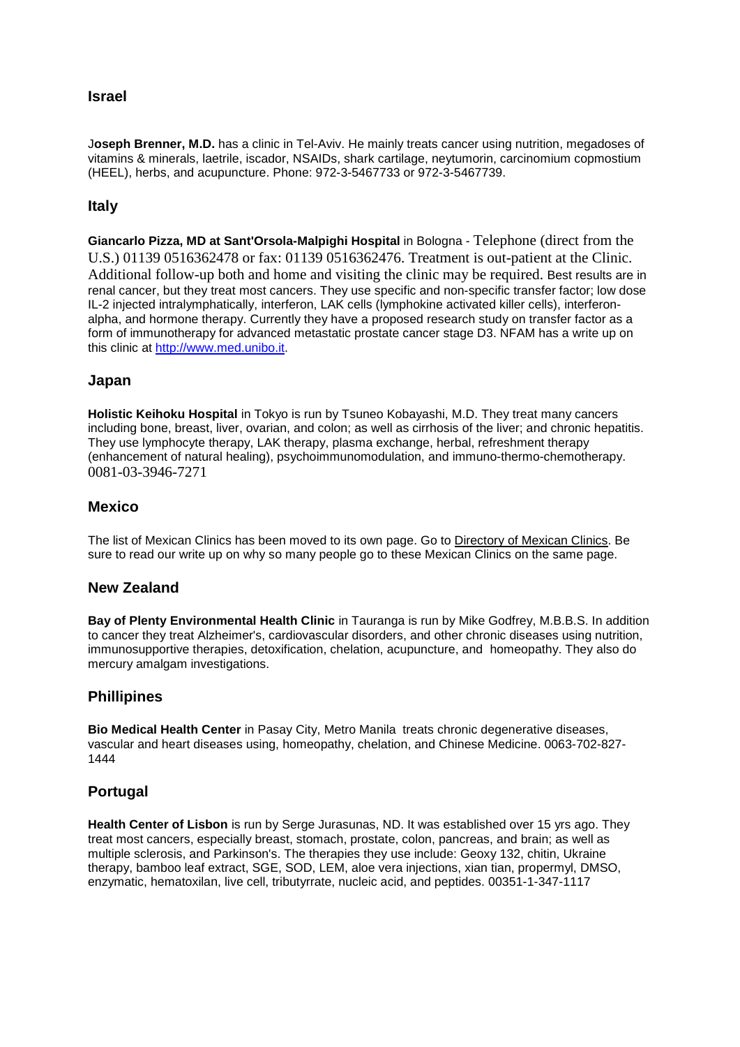### **Israel**

J**oseph Brenner, M.D.** has a clinic in Tel-Aviv. He mainly treats cancer using nutrition, megadoses of vitamins & minerals, laetrile, iscador, NSAIDs, shark cartilage, neytumorin, carcinomium copmostium (HEEL), herbs, and acupuncture. Phone: 972-3-5467733 or 972-3-5467739.

### **Italy**

**Giancarlo Pizza, MD at Sant'Orsola-Malpighi Hospital** in Bologna - Telephone (direct from the U.S.) 01139 0516362478 or fax: 01139 0516362476. Treatment is out-patient at the Clinic. Additional follow-up both and home and visiting the clinic may be required. Best results are in renal cancer, but they treat most cancers. They use specific and non-specific transfer factor; low dose IL-2 injected intralymphatically, interferon, LAK cells (lymphokine activated killer cells), interferonalpha, and hormone therapy. Currently they have a proposed research study on transfer factor as a form of immunotherapy for advanced metastatic prostate cancer stage D3. NFAM has a write up on this clinic at [http://www.med.unibo.it.](http://www.med.unibo.it/)

#### **Japan**

**Holistic Keihoku Hospital** in Tokyo is run by Tsuneo Kobayashi, M.D. They treat many cancers including bone, breast, liver, ovarian, and colon; as well as cirrhosis of the liver; and chronic hepatitis. They use lymphocyte therapy, LAK therapy, plasma exchange, herbal, refreshment therapy (enhancement of natural healing), psychoimmunomodulation, and immuno-thermo-chemotherapy. 0081-03-3946-7271

#### **Mexico**

The list of Mexican Clinics has been moved to its own page. Go to Directory of Mexican Clinics. Be sure to read our write up on why so many people go to these Mexican Clinics on the same page.

#### **New Zealand**

**Bay of Plenty Environmental Health Clinic** in Tauranga is run by Mike Godfrey, M.B.B.S. In addition to cancer they treat Alzheimer's, cardiovascular disorders, and other chronic diseases using nutrition, immunosupportive therapies, detoxification, chelation, acupuncture, and homeopathy. They also do mercury amalgam investigations.

### **Phillipines**

**Bio Medical Health Center** in Pasay City, Metro Manila treats chronic degenerative diseases, vascular and heart diseases using, homeopathy, chelation, and Chinese Medicine. 0063-702-827- 1444

#### **Portugal**

**Health Center of Lisbon** is run by Serge Jurasunas, ND. It was established over 15 yrs ago. They treat most cancers, especially breast, stomach, prostate, colon, pancreas, and brain; as well as multiple sclerosis, and Parkinson's. The therapies they use include: Geoxy 132, chitin, Ukraine therapy, bamboo leaf extract, SGE, SOD, LEM, aloe vera injections, xian tian, propermyl, DMSO, enzymatic, hematoxilan, live cell, tributyrrate, nucleic acid, and peptides. 00351-1-347-1117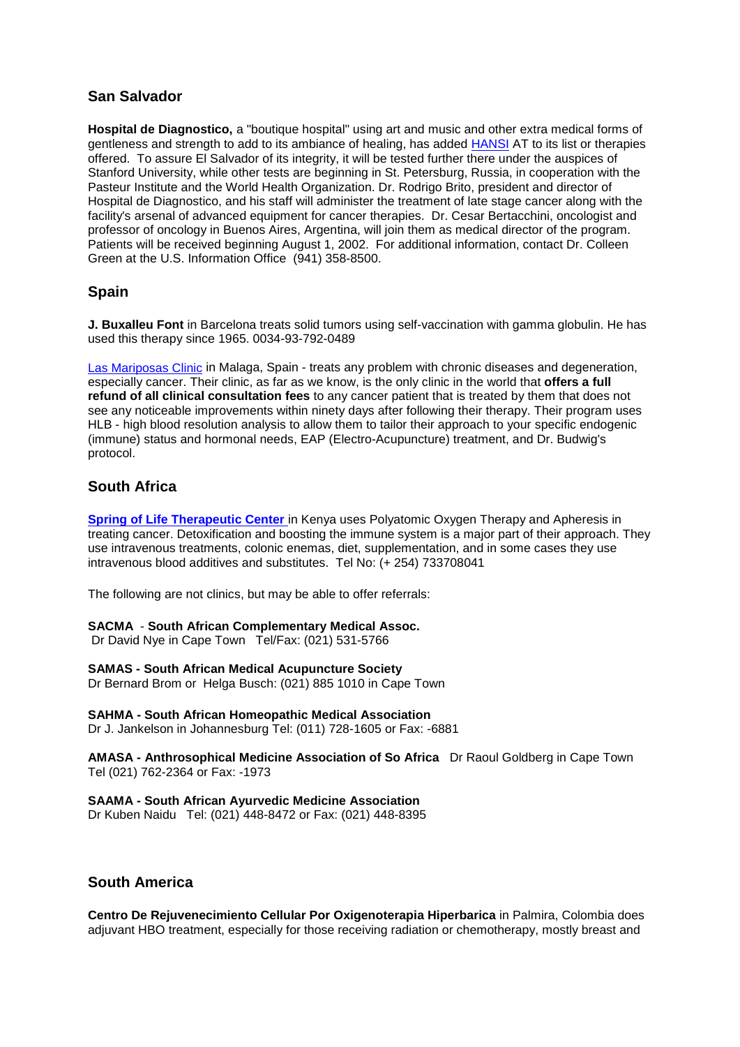### **San Salvador**

**Hospital de Diagnostico,** a "boutique hospital" using art and music and other extra medical forms of gentleness and strength to add to its ambiance of healing, has added HANSI AT to its list or therapies offered. To assure El Salvador of its integrity, it will be tested further there under the auspices of Stanford University, while other tests are beginning in St. Petersburg, Russia, in cooperation with the Pasteur Institute and the World Health Organization. Dr. Rodrigo Brito, president and director of Hospital de Diagnostico, and his staff will administer the treatment of late stage cancer along with the facility's arsenal of advanced equipment for cancer therapies. Dr. Cesar Bertacchini, oncologist and professor of oncology in Buenos Aires, Argentina, will join them as medical director of the program. Patients will be received beginning August 1, 2002. For additional information, contact Dr. Colleen Green at the U.S. Information Office (941) 358-8500.

### **Spain**

**J. Buxalleu Font** in Barcelona treats solid tumors using self-vaccination with gamma globulin. He has used this therapy since 1965. 0034-93-792-0489

Las Mariposas Clinic in Malaga, Spain - treats any problem with chronic diseases and degeneration, especially cancer. Their clinic, as far as we know, is the only clinic in the world that **offers a full refund of all clinical consultation fees** to any cancer patient that is treated by them that does not see any noticeable improvements within ninety days after following their therapy. Their program uses HLB - high blood resolution analysis to allow them to tailor their approach to your specific endogenic (immune) status and hormonal needs, EAP (Electro-Acupuncture) treatment, and Dr. Budwig's protocol.

### **South Africa**

**Spring of Life Therapeutic Center** in Kenya uses Polyatomic Oxygen Therapy and Apheresis in treating cancer. Detoxification and boosting the immune system is a major part of their approach. They use intravenous treatments, colonic enemas, diet, supplementation, and in some cases they use intravenous blood additives and substitutes. Tel No: (+ 254) 733708041

The following are not clinics, but may be able to offer referrals:

#### **SACMA** - **South African Complementary Medical Assoc.**

Dr David Nye in Cape Town Tel/Fax: (021) 531-5766

#### **SAMAS - South African Medical Acupuncture Society**

Dr Bernard Brom or Helga Busch: (021) 885 1010 in Cape Town

#### **SAHMA - South African Homeopathic Medical Association**

Dr J. Jankelson in Johannesburg Tel: (011) 728-1605 or Fax: -6881

**AMASA - Anthrosophical Medicine Association of So Africa** Dr Raoul Goldberg in Cape Town Tel (021) 762-2364 or Fax: -1973

#### **SAAMA - South African Ayurvedic Medicine Association**

Dr Kuben Naidu Tel: (021) 448-8472 or Fax: (021) 448-8395

### **South America**

**Centro De Rejuvenecimiento Cellular Por Oxigenoterapia Hiperbarica** in Palmira, Colombia does adjuvant HBO treatment, especially for those receiving radiation or chemotherapy, mostly breast and